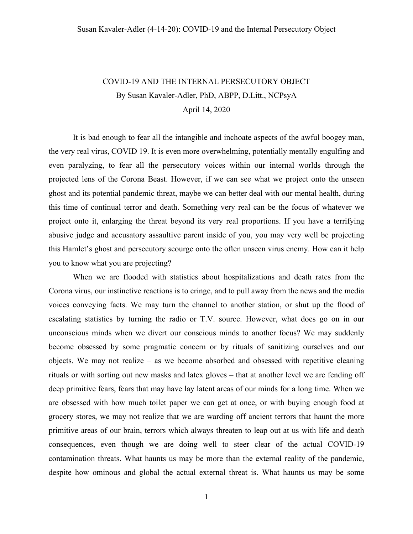## COVID-19 AND THE INTERNAL PERSECUTORY OBJECT By Susan Kavaler-Adler, PhD, ABPP, D.Litt., NCPsyA April 14, 2020

It is bad enough to fear all the intangible and inchoate aspects of the awful boogey man, the very real virus, COVID 19. It is even more overwhelming, potentially mentally engulfing and even paralyzing, to fear all the persecutory voices within our internal worlds through the projected lens of the Corona Beast. However, if we can see what we project onto the unseen ghost and its potential pandemic threat, maybe we can better deal with our mental health, during this time of continual terror and death. Something very real can be the focus of whatever we project onto it, enlarging the threat beyond its very real proportions. If you have a terrifying abusive judge and accusatory assaultive parent inside of you, you may very well be projecting this Hamlet's ghost and persecutory scourge onto the often unseen virus enemy. How can it help you to know what you are projecting?

When we are flooded with statistics about hospitalizations and death rates from the Corona virus, our instinctive reactions is to cringe, and to pull away from the news and the media voices conveying facts. We may turn the channel to another station, or shut up the flood of escalating statistics by turning the radio or T.V. source. However, what does go on in our unconscious minds when we divert our conscious minds to another focus? We may suddenly become obsessed by some pragmatic concern or by rituals of sanitizing ourselves and our objects. We may not realize – as we become absorbed and obsessed with repetitive cleaning rituals or with sorting out new masks and latex gloves – that at another level we are fending off deep primitive fears, fears that may have lay latent areas of our minds for a long time. When we are obsessed with how much toilet paper we can get at once, or with buying enough food at grocery stores, we may not realize that we are warding off ancient terrors that haunt the more primitive areas of our brain, terrors which always threaten to leap out at us with life and death consequences, even though we are doing well to steer clear of the actual COVID-19 contamination threats. What haunts us may be more than the external reality of the pandemic, despite how ominous and global the actual external threat is. What haunts us may be some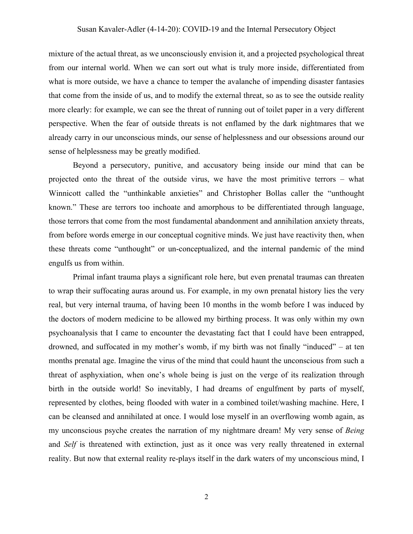mixture of the actual threat, as we unconsciously envision it, and a projected psychological threat from our internal world. When we can sort out what is truly more inside, differentiated from what is more outside, we have a chance to temper the avalanche of impending disaster fantasies that come from the inside of us, and to modify the external threat, so as to see the outside reality more clearly: for example, we can see the threat of running out of toilet paper in a very different perspective. When the fear of outside threats is not enflamed by the dark nightmares that we already carry in our unconscious minds, our sense of helplessness and our obsessions around our sense of helplessness may be greatly modified.

Beyond a persecutory, punitive, and accusatory being inside our mind that can be projected onto the threat of the outside virus, we have the most primitive terrors – what Winnicott called the "unthinkable anxieties" and Christopher Bollas caller the "unthought known." These are terrors too inchoate and amorphous to be differentiated through language, those terrors that come from the most fundamental abandonment and annihilation anxiety threats, from before words emerge in our conceptual cognitive minds. We just have reactivity then, when these threats come "unthought" or un-conceptualized, and the internal pandemic of the mind engulfs us from within.

Primal infant trauma plays a significant role here, but even prenatal traumas can threaten to wrap their suffocating auras around us. For example, in my own prenatal history lies the very real, but very internal trauma, of having been 10 months in the womb before I was induced by the doctors of modern medicine to be allowed my birthing process. It was only within my own psychoanalysis that I came to encounter the devastating fact that I could have been entrapped, drowned, and suffocated in my mother's womb, if my birth was not finally "induced" – at ten months prenatal age. Imagine the virus of the mind that could haunt the unconscious from such a threat of asphyxiation, when one's whole being is just on the verge of its realization through birth in the outside world! So inevitably, I had dreams of engulfment by parts of myself, represented by clothes, being flooded with water in a combined toilet/washing machine. Here, I can be cleansed and annihilated at once. I would lose myself in an overflowing womb again, as my unconscious psyche creates the narration of my nightmare dream! My very sense of *Being* and *Self* is threatened with extinction, just as it once was very really threatened in external reality. But now that external reality re-plays itself in the dark waters of my unconscious mind, I